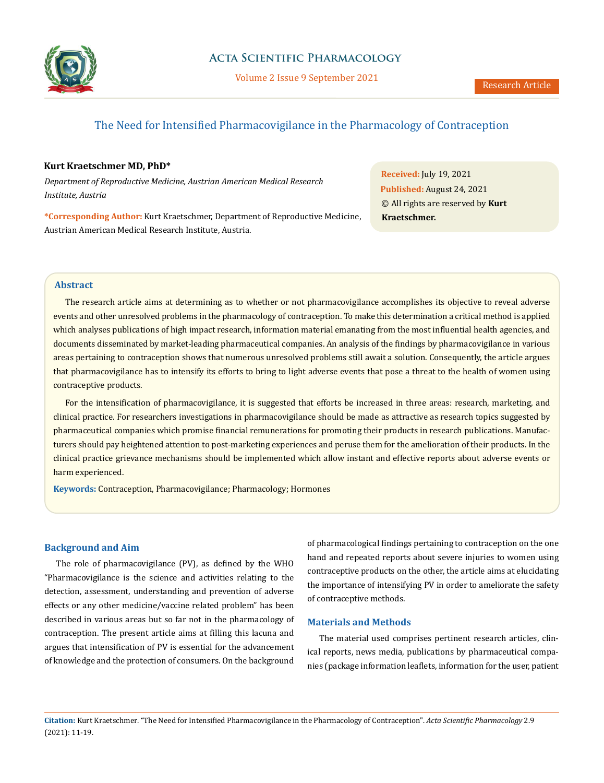

## **Acta Scientific Pharmacology**

Volume 2 Issue 9 September 2021

# The Need for Intensified Pharmacovigilance in the Pharmacology of Contraception

#### **Kurt Kraetschmer MD, PhD\***

*Department of Reproductive Medicine, Austrian American Medical Research Institute, Austria*

**\*Corresponding Author:** Kurt Kraetschmer, Department of Reproductive Medicine, Austrian American Medical Research Institute, Austria.

**Received:** July 19, 2021 **Published:** August 24, 2021 © All rights are reserved by **Kurt Kraetschmer.**

## **Abstract**

The research article aims at determining as to whether or not pharmacovigilance accomplishes its objective to reveal adverse events and other unresolved problems in the pharmacology of contraception. To make this determination a critical method is applied which analyses publications of high impact research, information material emanating from the most influential health agencies, and documents disseminated by market-leading pharmaceutical companies. An analysis of the findings by pharmacovigilance in various areas pertaining to contraception shows that numerous unresolved problems still await a solution. Consequently, the article argues that pharmacovigilance has to intensify its efforts to bring to light adverse events that pose a threat to the health of women using contraceptive products.

For the intensification of pharmacovigilance, it is suggested that efforts be increased in three areas: research, marketing, and clinical practice. For researchers investigations in pharmacovigilance should be made as attractive as research topics suggested by pharmaceutical companies which promise financial remunerations for promoting their products in research publications. Manufacturers should pay heightened attention to post-marketing experiences and peruse them for the amelioration of their products. In the clinical practice grievance mechanisms should be implemented which allow instant and effective reports about adverse events or harm experienced.

**Keywords:** Contraception, Pharmacovigilance; Pharmacology; Hormones

#### **Background and Aim**

The role of pharmacovigilance (PV), as defined by the WHO "Pharmacovigilance is the science and activities relating to the detection, assessment, understanding and prevention of adverse effects or any other medicine/vaccine related problem" has been described in various areas but so far not in the pharmacology of contraception. The present article aims at filling this lacuna and argues that intensification of PV is essential for the advancement of knowledge and the protection of consumers. On the background of pharmacological findings pertaining to contraception on the one hand and repeated reports about severe injuries to women using contraceptive products on the other, the article aims at elucidating the importance of intensifying PV in order to ameliorate the safety of contraceptive methods.

#### **Materials and Methods**

The material used comprises pertinent research articles, clinical reports, news media, publications by pharmaceutical companies (package information leaflets, information for the user, patient

**Citation:** Kurt Kraetschmer*.* "The Need for Intensified Pharmacovigilance in the Pharmacology of Contraception". *Acta Scientific Pharmacology* 2.9 (2021): 11-19.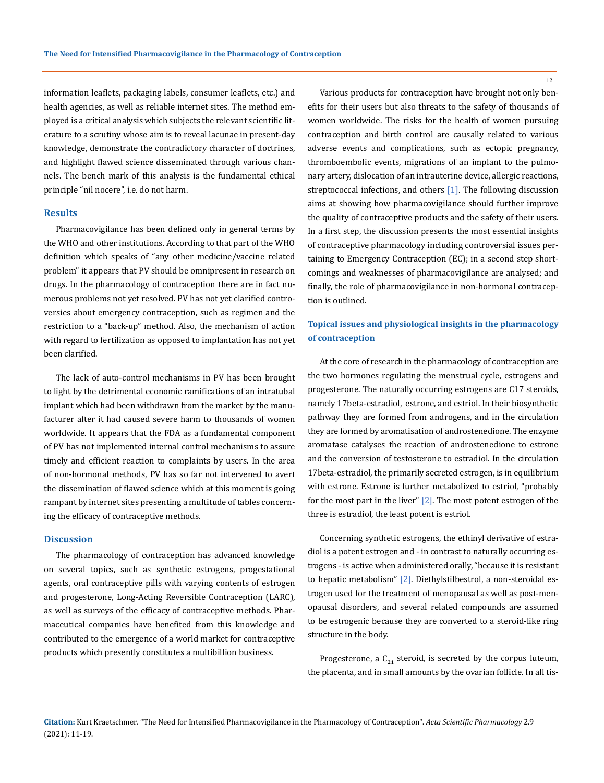information leaflets, packaging labels, consumer leaflets, etc.) and health agencies, as well as reliable internet sites. The method employed is a critical analysis which subjects the relevant scientific literature to a scrutiny whose aim is to reveal lacunae in present-day knowledge, demonstrate the contradictory character of doctrines, and highlight flawed science disseminated through various channels. The bench mark of this analysis is the fundamental ethical principle "nil nocere", i.e. do not harm.

#### **Results**

Pharmacovigilance has been defined only in general terms by the WHO and other institutions. According to that part of the WHO definition which speaks of "any other medicine/vaccine related problem" it appears that PV should be omnipresent in research on drugs. In the pharmacology of contraception there are in fact numerous problems not yet resolved. PV has not yet clarified controversies about emergency contraception, such as regimen and the restriction to a "back-up" method. Also, the mechanism of action with regard to fertilization as opposed to implantation has not yet been clarified.

The lack of auto-control mechanisms in PV has been brought to light by the detrimental economic ramifications of an intratubal implant which had been withdrawn from the market by the manufacturer after it had caused severe harm to thousands of women worldwide. It appears that the FDA as a fundamental component of PV has not implemented internal control mechanisms to assure timely and efficient reaction to complaints by users. In the area of non-hormonal methods, PV has so far not intervened to avert the dissemination of flawed science which at this moment is going rampant by internet sites presenting a multitude of tables concerning the efficacy of contraceptive methods.

#### **Discussion**

The pharmacology of contraception has advanced knowledge on several topics, such as synthetic estrogens, progestational agents, oral contraceptive pills with varying contents of estrogen and progesterone, Long-Acting Reversible Contraception (LARC), as well as surveys of the efficacy of contraceptive methods. Pharmaceutical companies have benefited from this knowledge and contributed to the emergence of a world market for contraceptive products which presently constitutes a multibillion business.

Various products for contraception have brought not only benefits for their users but also threats to the safety of thousands of women worldwide. The risks for the health of women pursuing contraception and birth control are causally related to various adverse events and complications, such as ectopic pregnancy, thromboembolic events, migrations of an implant to the pulmonary artery, dislocation of an intrauterine device, allergic reactions, streptococcal infections, and others [1]. The following discussion aims at showing how pharmacovigilance should further improve the quality of contraceptive products and the safety of their users. In a first step, the discussion presents the most essential insights of contraceptive pharmacology including controversial issues pertaining to Emergency Contraception (EC); in a second step shortcomings and weaknesses of pharmacovigilance are analysed; and finally, the role of pharmacovigilance in non-hormonal contraception is outlined.

## **Topical issues and physiological insights in the pharmacology of contraception**

At the core of research in the pharmacology of contraception are the two hormones regulating the menstrual cycle, estrogens and progesterone. The naturally occurring estrogens are C17 steroids, namely 17beta-estradiol, estrone, and estriol. In their biosynthetic pathway they are formed from androgens, and in the circulation they are formed by aromatisation of androstenedione. The enzyme aromatase catalyses the reaction of androstenedione to estrone and the conversion of testosterone to estradiol. In the circulation 17beta-estradiol, the primarily secreted estrogen, is in equilibrium with estrone. Estrone is further metabolized to estriol, "probably for the most part in the liver"  $[2]$ . The most potent estrogen of the three is estradiol, the least potent is estriol.

Concerning synthetic estrogens, the ethinyl derivative of estradiol is a potent estrogen and - in contrast to naturally occurring estrogens - is active when administered orally, "because it is resistant to hepatic metabolism" [2]. Diethylstilbestrol, a non-steroidal estrogen used for the treatment of menopausal as well as post-menopausal disorders, and several related compounds are assumed to be estrogenic because they are converted to a steroid-like ring structure in the body.

Progesterone, a  $C_{21}$  steroid, is secreted by the corpus luteum, the placenta, and in small amounts by the ovarian follicle. In all tis-

**Citation:** Kurt Kraetschmer*.* "The Need for Intensified Pharmacovigilance in the Pharmacology of Contraception". *Acta Scientific Pharmacology* 2.9 (2021): 11-19.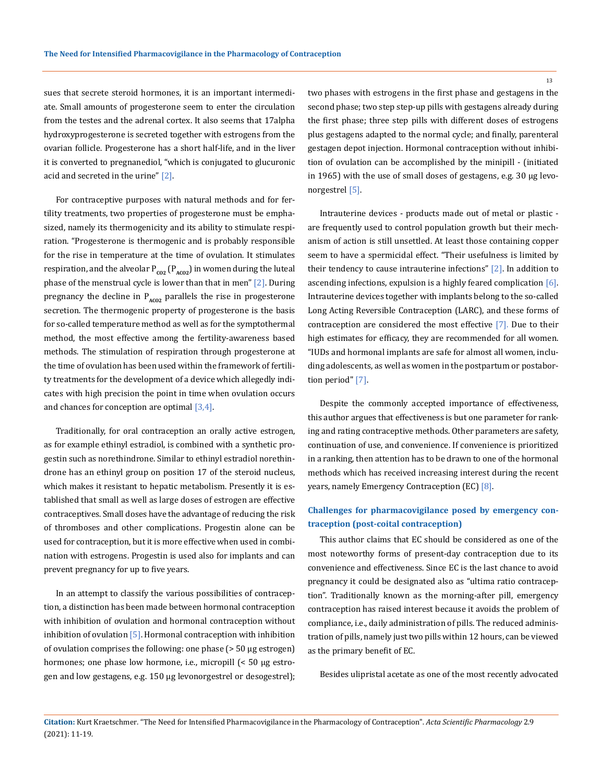sues that secrete steroid hormones, it is an important intermediate. Small amounts of progesterone seem to enter the circulation from the testes and the adrenal cortex. It also seems that 17alpha hydroxyprogesterone is secreted together with estrogens from the ovarian follicle. Progesterone has a short half-life, and in the liver it is converted to pregnanediol, "which is conjugated to glucuronic acid and secreted in the urine" [2].

For contraceptive purposes with natural methods and for fertility treatments, two properties of progesterone must be emphasized, namely its thermogenicity and its ability to stimulate respiration. "Progesterone is thermogenic and is probably responsible for the rise in temperature at the time of ovulation. It stimulates respiration, and the alveolar P<sub>co2</sub> (P<sub>ACO2</sub>) in women during the luteal phase of the menstrual cycle is lower than that in men" [2]. During pregnancy the decline in  $P_{ACO2}$  parallels the rise in progesterone secretion. The thermogenic property of progesterone is the basis for so-called temperature method as well as for the symptothermal method, the most effective among the fertility-awareness based methods. The stimulation of respiration through progesterone at the time of ovulation has been used within the framework of fertility treatments for the development of a device which allegedly indicates with high precision the point in time when ovulation occurs and chances for conception are optimal [3,4].

Traditionally, for oral contraception an orally active estrogen, as for example ethinyl estradiol, is combined with a synthetic progestin such as norethindrone. Similar to ethinyl estradiol norethindrone has an ethinyl group on position 17 of the steroid nucleus, which makes it resistant to hepatic metabolism. Presently it is established that small as well as large doses of estrogen are effective contraceptives. Small doses have the advantage of reducing the risk of thromboses and other complications. Progestin alone can be used for contraception, but it is more effective when used in combination with estrogens. Progestin is used also for implants and can prevent pregnancy for up to five years.

In an attempt to classify the various possibilities of contraception, a distinction has been made between hormonal contraception with inhibition of ovulation and hormonal contraception without inhibition of ovulation  $\boxed{5}$ . Hormonal contraception with inhibition of ovulation comprises the following: one phase (> 50 µg estrogen) hormones; one phase low hormone, i.e., micropill (< 50 µg estrogen and low gestagens, e.g. 150 µg levonorgestrel or desogestrel);

two phases with estrogens in the first phase and gestagens in the second phase; two step step-up pills with gestagens already during the first phase; three step pills with different doses of estrogens plus gestagens adapted to the normal cycle; and finally, parenteral gestagen depot injection. Hormonal contraception without inhibition of ovulation can be accomplished by the minipill - (initiated in 1965) with the use of small doses of gestagens, e.g. 30 µg levonorgestrel [5].

Intrauterine devices - products made out of metal or plastic are frequently used to control population growth but their mechanism of action is still unsettled. At least those containing copper seem to have a spermicidal effect. "Their usefulness is limited by their tendency to cause intrauterine infections" [2]. In addition to ascending infections, expulsion is a highly feared complication [6]. Intrauterine devices together with implants belong to the so-called Long Acting Reversible Contraception (LARC), and these forms of contraception are considered the most effective [7]. Due to their high estimates for efficacy, they are recommended for all women. "IUDs and hormonal implants are safe for almost all women, including adolescents, as well as women in the postpartum or postabortion period" [7].

Despite the commonly accepted importance of effectiveness, this author argues that effectiveness is but one parameter for ranking and rating contraceptive methods. Other parameters are safety, continuation of use, and convenience. If convenience is prioritized in a ranking, then attention has to be drawn to one of the hormonal methods which has received increasing interest during the recent years, namely Emergency Contraception (EC) [8].

## **Challenges for pharmacovigilance posed by emergency contraception (post-coital contraception)**

This author claims that EC should be considered as one of the most noteworthy forms of present-day contraception due to its convenience and effectiveness. Since EC is the last chance to avoid pregnancy it could be designated also as "ultima ratio contraception". Traditionally known as the morning-after pill, emergency contraception has raised interest because it avoids the problem of compliance, i.e., daily administration of pills. The reduced administration of pills, namely just two pills within 12 hours, can be viewed as the primary benefit of EC.

Besides ulipristal acetate as one of the most recently advocated

**Citation:** Kurt Kraetschmer*.* "The Need for Intensified Pharmacovigilance in the Pharmacology of Contraception". *Acta Scientific Pharmacology* 2.9 (2021): 11-19.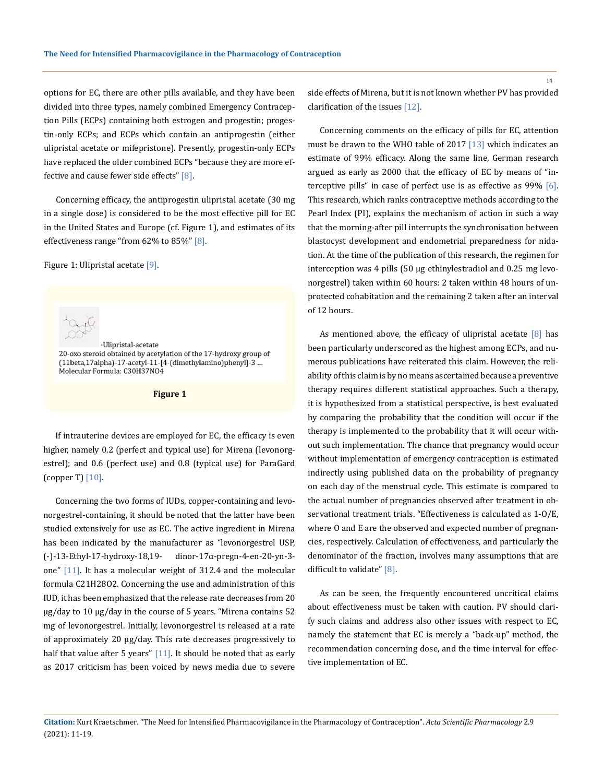options for EC, there are other pills available, and they have been divided into three types, namely combined Emergency Contraception Pills (ECPs) containing both estrogen and progestin; progestin-only ECPs; and ECPs which contain an antiprogestin (either ulipristal acetate or mifepristone). Presently, progestin-only ECPs have replaced the older combined ECPs "because they are more effective and cause fewer side effects"  $[8]$ .

Concerning efficacy, the antiprogestin ulipristal acetate (30 mg in a single dose) is considered to be the most effective pill for EC in the United States and Europe (cf. Figure 1), and estimates of its effectiveness range "from  $62\%$  to  $85\%$ "  $[8]$ .

Figure 1: Ulipristal acetate [9].



·Ulipristal-acetate 20-oxo steroid obtained by acetylation of the 17-hydroxy group of (11beta, 17alpha)-17-acetyl-11-[4-(dimethylamino)phenyl]-3 ... Molecular Formula: C30H37NO4

**Figure 1**

If intrauterine devices are employed for EC, the efficacy is even higher, namely 0.2 (perfect and typical use) for Mirena (levonorgestrel); and 0.6 (perfect use) and 0.8 (typical use) for ParaGard (copper T) [10].

Concerning the two forms of IUDs, copper-containing and levonorgestrel-containing, it should be noted that the latter have been studied extensively for use as EC. The active ingredient in Mirena has been indicated by the manufacturer as "levonorgestrel USP, (-)-13-Ethyl-17-hydroxy-18,19- dinor-17α-pregn-4-en-20-yn-3 one" [11]. It has a molecular weight of 312.4 and the molecular formula C21H28O2. Concerning the use and administration of this IUD, it has been emphasized that the release rate decreases from 20 μg/day to 10 μg/day in the course of 5 years. "Mirena contains 52 mg of levonorgestrel. Initially, levonorgestrel is released at a rate of approximately 20 μg/day. This rate decreases progressively to half that value after 5 years" [11]. It should be noted that as early as 2017 criticism has been voiced by news media due to severe side effects of Mirena, but it is not known whether PV has provided clarification of the issues [12].

Concerning comments on the efficacy of pills for EC, attention must be drawn to the WHO table of 2017 [13] which indicates an estimate of 99% efficacy. Along the same line, German research argued as early as 2000 that the efficacy of EC by means of "interceptive pills" in case of perfect use is as effective as 99% [6]. This research, which ranks contraceptive methods according to the Pearl Index (PI), explains the mechanism of action in such a way that the morning-after pill interrupts the synchronisation between blastocyst development and endometrial preparedness for nidation. At the time of the publication of this research, the regimen for interception was 4 pills (50 μg ethinylestradiol and 0.25 mg levonorgestrel) taken within 60 hours: 2 taken within 48 hours of unprotected cohabitation and the remaining 2 taken after an interval of 12 hours.

As mentioned above, the efficacy of ulipristal acetate  $[8]$  has been particularly underscored as the highest among ECPs, and numerous publications have reiterated this claim. However, the reliability of this claim is by no means ascertained because a preventive therapy requires different statistical approaches. Such a therapy, it is hypothesized from a statistical perspective, is best evaluated by comparing the probability that the condition will occur if the therapy is implemented to the probability that it will occur without such implementation. The chance that pregnancy would occur without implementation of emergency contraception is estimated indirectly using published data on the probability of pregnancy on each day of the menstrual cycle. This estimate is compared to the actual number of pregnancies observed after treatment in observational treatment trials. "Effectiveness is calculated as 1-O/E, where O and E are the observed and expected number of pregnancies, respectively. Calculation of effectiveness, and particularly the denominator of the fraction, involves many assumptions that are difficult to validate" [8].

As can be seen, the frequently encountered uncritical claims about effectiveness must be taken with caution. PV should clarify such claims and address also other issues with respect to EC, namely the statement that EC is merely a "back-up" method, the recommendation concerning dose, and the time interval for effective implementation of EC.

**Citation:** Kurt Kraetschmer*.* "The Need for Intensified Pharmacovigilance in the Pharmacology of Contraception". *Acta Scientific Pharmacology* 2.9 (2021): 11-19.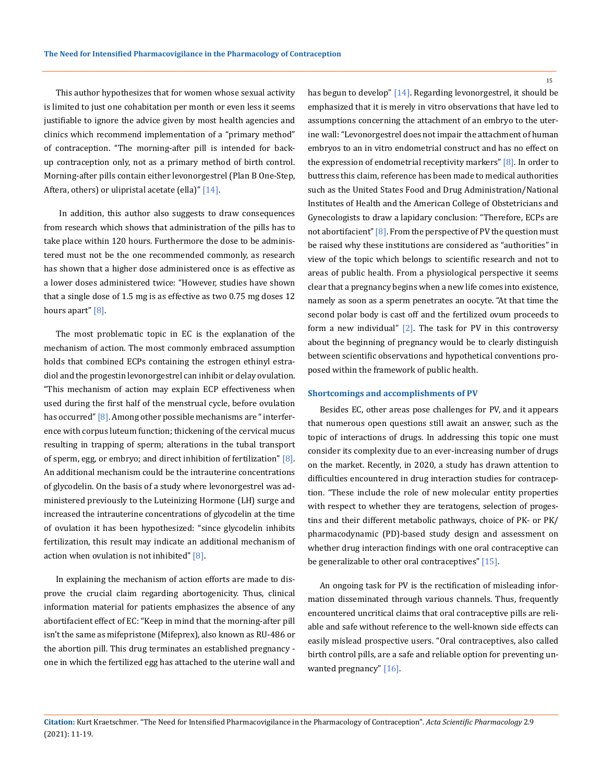This author hypothesizes that for women whose sexual activity is limited to just one cohabitation per month or even less it seems justifiable to ignore the advice given by most health agencies and clinics which recommend implementation of a "primary method" of contraception. "The morning-after pill is intended for backup contraception only, not as a primary method of birth control. Morning-after pills contain either levonorgestrel (Plan B One-Step, Aftera, others) or ulipristal acetate (ella)" [14].

 In addition, this author also suggests to draw consequences from research which shows that administration of the pills has to take place within 120 hours. Furthermore the dose to be administered must not be the one recommended commonly, as research has shown that a higher dose administered once is as effective as a lower doses administered twice: "However, studies have shown that a single dose of 1.5 mg is as effective as two 0.75 mg doses 12 hours apart" [8].

The most problematic topic in EC is the explanation of the mechanism of action. The most commonly embraced assumption holds that combined ECPs containing the estrogen ethinyl estradiol and the progestin levonorgestrel can inhibit or delay ovulation. "This mechanism of action may explain ECP effectiveness when used during the first half of the menstrual cycle, before ovulation has occurred" [8]. Among other possible mechanisms are "interference with corpus luteum function; thickening of the cervical mucus resulting in trapping of sperm; alterations in the tubal transport of sperm, egg, or embryo; and direct inhibition of fertilization" [8]. An additional mechanism could be the intrauterine concentrations of glycodelin. On the basis of a study where levonorgestrel was administered previously to the Luteinizing Hormone (LH) surge and increased the intrauterine concentrations of glycodelin at the time of ovulation it has been hypothesized: "since glycodelin inhibits fertilization, this result may indicate an additional mechanism of action when ovulation is not inhibited" [8].

In explaining the mechanism of action efforts are made to disprove the crucial claim regarding abortogenicity. Thus, clinical information material for patients emphasizes the absence of any abortifacient effect of EC: "Keep in mind that the morning-after pill isn't the same as mifepristone (Mifeprex), also known as RU-486 or the abortion pill. This drug terminates an established pregnancy one in which the fertilized egg has attached to the uterine wall and

has begun to develop" [14]. Regarding levonorgestrel, it should be emphasized that it is merely in vitro observations that have led to assumptions concerning the attachment of an embryo to the uterine wall: "Levonorgestrel does not impair the attachment of human embryos to an in vitro endometrial construct and has no effect on the expression of endometrial receptivity markers" [8]. In order to buttress this claim, reference has been made to medical authorities such as the United States Food and Drug Administration/National Institutes of Health and the American College of Obstetricians and Gynecologists to draw a lapidary conclusion: "Therefore, ECPs are not abortifacient" [8]. From the perspective of PV the question must be raised why these institutions are considered as "authorities" in view of the topic which belongs to scientific research and not to areas of public health. From a physiological perspective it seems clear that a pregnancy begins when a new life comes into existence, namely as soon as a sperm penetrates an oocyte. "At that time the second polar body is cast off and the fertilized ovum proceeds to form a new individual"  $[2]$ . The task for PV in this controversy about the beginning of pregnancy would be to clearly distinguish between scientific observations and hypothetical conventions proposed within the framework of public health.

#### **Shortcomings and accomplishments of PV**

Besides EC, other areas pose challenges for PV, and it appears that numerous open questions still await an answer, such as the topic of interactions of drugs. In addressing this topic one must consider its complexity due to an ever-increasing number of drugs on the market. Recently, in 2020, a study has drawn attention to difficulties encountered in drug interaction studies for contraception. "These include the role of new molecular entity properties with respect to whether they are teratogens, selection of progestins and their different metabolic pathways, choice of PK- or PK/ pharmacodynamic (PD)-based study design and assessment on whether drug interaction findings with one oral contraceptive can be generalizable to other oral contraceptives" [15].

An ongoing task for PV is the rectification of misleading information disseminated through various channels. Thus, frequently encountered uncritical claims that oral contraceptive pills are reliable and safe without reference to the well-known side effects can easily mislead prospective users. "Oral contraceptives, also called birth control pills, are a safe and reliable option for preventing unwanted pregnancy" [16].

**Citation:** Kurt Kraetschmer*.* "The Need for Intensified Pharmacovigilance in the Pharmacology of Contraception". *Acta Scientific Pharmacology* 2.9 (2021): 11-19.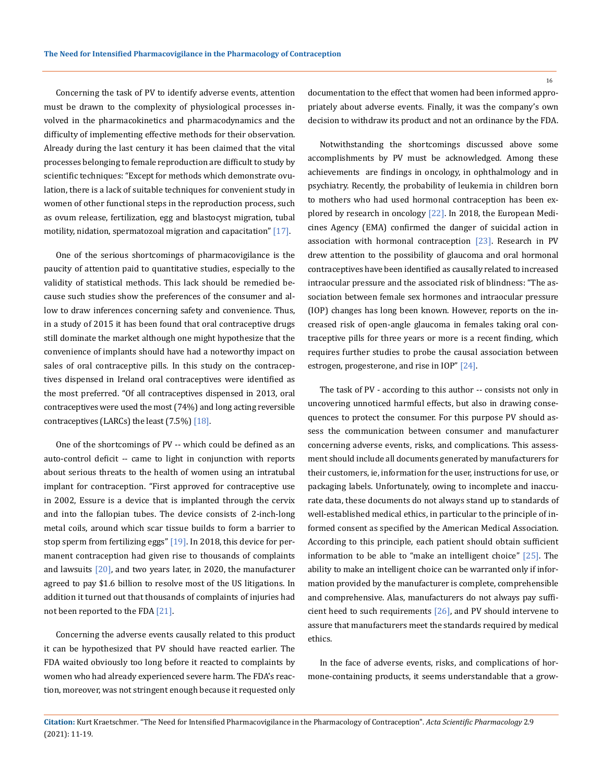Concerning the task of PV to identify adverse events, attention must be drawn to the complexity of physiological processes involved in the pharmacokinetics and pharmacodynamics and the difficulty of implementing effective methods for their observation. Already during the last century it has been claimed that the vital processes belonging to female reproduction are difficult to study by scientific techniques: "Except for methods which demonstrate ovulation, there is a lack of suitable techniques for convenient study in women of other functional steps in the reproduction process, such as ovum release, fertilization, egg and blastocyst migration, tubal motility, nidation, spermatozoal migration and capacitation" [17].

One of the serious shortcomings of pharmacovigilance is the paucity of attention paid to quantitative studies, especially to the validity of statistical methods. This lack should be remedied because such studies show the preferences of the consumer and allow to draw inferences concerning safety and convenience. Thus, in a study of 2015 it has been found that oral contraceptive drugs still dominate the market although one might hypothesize that the convenience of implants should have had a noteworthy impact on sales of oral contraceptive pills. In this study on the contraceptives dispensed in Ireland oral contraceptives were identified as the most preferred. "Of all contraceptives dispensed in 2013, oral contraceptives were used the most (74%) and long acting reversible contraceptives (LARCs) the least (7.5%) [18].

One of the shortcomings of PV -- which could be defined as an auto-control deficit -- came to light in conjunction with reports about serious threats to the health of women using an intratubal implant for contraception. "First approved for contraceptive use in 2002, Essure is a device that is implanted through the cervix and into the fallopian tubes. The device consists of 2-inch-long metal coils, around which scar tissue builds to form a barrier to stop sperm from fertilizing eggs" [19]. In 2018, this device for permanent contraception had given rise to thousands of complaints and lawsuits  $[20]$ , and two years later, in 2020, the manufacturer agreed to pay \$1.6 billion to resolve most of the US litigations. In addition it turned out that thousands of complaints of injuries had not been reported to the FDA [21].

Concerning the adverse events causally related to this product it can be hypothesized that PV should have reacted earlier. The FDA waited obviously too long before it reacted to complaints by women who had already experienced severe harm. The FDA's reaction, moreover, was not stringent enough because it requested only documentation to the effect that women had been informed appropriately about adverse events. Finally, it was the company's own decision to withdraw its product and not an ordinance by the FDA.

Notwithstanding the shortcomings discussed above some accomplishments by PV must be acknowledged. Among these achievements are findings in oncology, in ophthalmology and in psychiatry. Recently, the probability of leukemia in children born to mothers who had used hormonal contraception has been explored by research in oncology [22]. In 2018, the European Medicines Agency (EMA) confirmed the danger of suicidal action in association with hormonal contraception [23]. Research in PV drew attention to the possibility of glaucoma and oral hormonal contraceptives have been identified as causally related to increased intraocular pressure and the associated risk of blindness: "The association between female sex hormones and intraocular pressure (IOP) changes has long been known. However, reports on the increased risk of open‑angle glaucoma in females taking oral contraceptive pills for three years or more is a recent finding, which requires further studies to probe the causal association between estrogen, progesterone, and rise in IOP" [24].

The task of PV - according to this author -- consists not only in uncovering unnoticed harmful effects, but also in drawing consequences to protect the consumer. For this purpose PV should assess the communication between consumer and manufacturer concerning adverse events, risks, and complications. This assessment should include all documents generated by manufacturers for their customers, ie, information for the user, instructions for use, or packaging labels. Unfortunately, owing to incomplete and inaccurate data, these documents do not always stand up to standards of well-established medical ethics, in particular to the principle of informed consent as specified by the American Medical Association. According to this principle, each patient should obtain sufficient information to be able to "make an intelligent choice"  $[25]$ . The ability to make an intelligent choice can be warranted only if information provided by the manufacturer is complete, comprehensible and comprehensive. Alas, manufacturers do not always pay sufficient heed to such requirements [26], and PV should intervene to assure that manufacturers meet the standards required by medical ethics.

In the face of adverse events, risks, and complications of hormone-containing products, it seems understandable that a grow-

**Citation:** Kurt Kraetschmer*.* "The Need for Intensified Pharmacovigilance in the Pharmacology of Contraception". *Acta Scientific Pharmacology* 2.9 (2021): 11-19.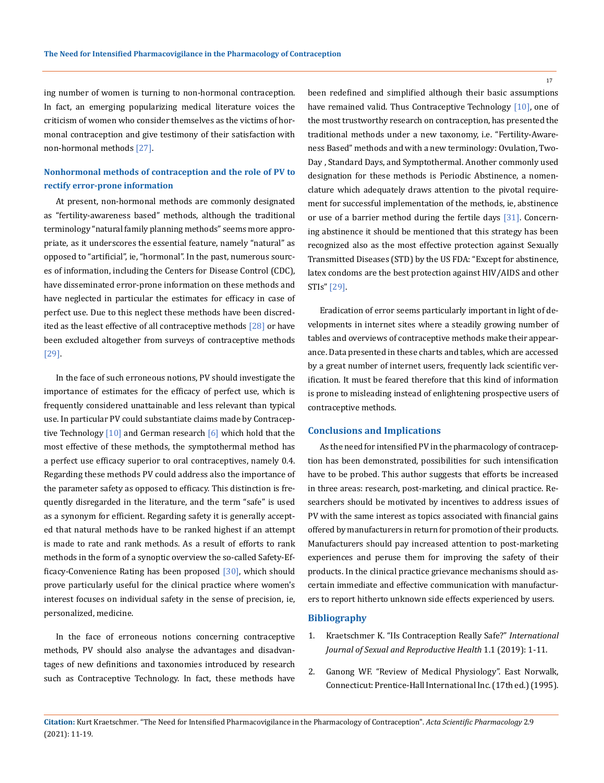ing number of women is turning to non-hormonal contraception. In fact, an emerging popularizing medical literature voices the criticism of women who consider themselves as the victims of hormonal contraception and give testimony of their satisfaction with non-hormonal methods [27].

## **Nonhormonal methods of contraception and the role of PV to rectify error-prone information**

At present, non-hormonal methods are commonly designated as "fertility-awareness based" methods, although the traditional terminology "natural family planning methods" seems more appropriate, as it underscores the essential feature, namely "natural" as opposed to "artificial", ie, "hormonal". In the past, numerous sources of information, including the Centers for Disease Control (CDC), have disseminated error-prone information on these methods and have neglected in particular the estimates for efficacy in case of perfect use. Due to this neglect these methods have been discredited as the least effective of all contraceptive methods [28] or have been excluded altogether from surveys of contraceptive methods [29].

In the face of such erroneous notions, PV should investigate the importance of estimates for the efficacy of perfect use, which is frequently considered unattainable and less relevant than typical use. In particular PV could substantiate claims made by Contraceptive Technology  $\lceil 10 \rceil$  and German research  $\lceil 6 \rceil$  which hold that the most effective of these methods, the symptothermal method has a perfect use efficacy superior to oral contraceptives, namely 0.4. Regarding these methods PV could address also the importance of the parameter safety as opposed to efficacy. This distinction is frequently disregarded in the literature, and the term "safe" is used as a synonym for efficient. Regarding safety it is generally accepted that natural methods have to be ranked highest if an attempt is made to rate and rank methods. As a result of efforts to rank methods in the form of a synoptic overview the so-called Safety-Efficacy-Convenience Rating has been proposed [30], which should prove particularly useful for the clinical practice where women's interest focuses on individual safety in the sense of precision, ie, personalized, medicine.

In the face of erroneous notions concerning contraceptive methods, PV should also analyse the advantages and disadvantages of new definitions and taxonomies introduced by research such as Contraceptive Technology. In fact, these methods have

been redefined and simplified although their basic assumptions have remained valid. Thus Contraceptive Technology [10], one of the most trustworthy research on contraception, has presented the traditional methods under a new taxonomy, i.e. "Fertility-Awareness Based" methods and with a new terminology: Ovulation, Two-Day , Standard Days, and Symptothermal. Another commonly used designation for these methods is Periodic Abstinence, a nomenclature which adequately draws attention to the pivotal requirement for successful implementation of the methods, ie, abstinence or use of a barrier method during the fertile days [31]. Concerning abstinence it should be mentioned that this strategy has been recognized also as the most effective protection against Sexually Transmitted Diseases (STD) by the US FDA: "Except for abstinence, latex condoms are the best protection against HIV/AIDS and other STIs" [29].

Eradication of error seems particularly important in light of developments in internet sites where a steadily growing number of tables and overviews of contraceptive methods make their appearance. Data presented in these charts and tables, which are accessed by a great number of internet users, frequently lack scientific verification. It must be feared therefore that this kind of information is prone to misleading instead of enlightening prospective users of contraceptive methods.

#### **Conclusions and Implications**

As the need for intensified PV in the pharmacology of contraception has been demonstrated, possibilities for such intensification have to be probed. This author suggests that efforts be increased in three areas: research, post-marketing, and clinical practice. Researchers should be motivated by incentives to address issues of PV with the same interest as topics associated with financial gains offered by manufacturers in return for promotion of their products. Manufacturers should pay increased attention to post-marketing experiences and peruse them for improving the safety of their products. In the clinical practice grievance mechanisms should ascertain immediate and effective communication with manufacturers to report hitherto unknown side effects experienced by users.

### **Bibliography**

- 1. [Kraetschmer K. "IIs Contraception Really Safe?"](https://symbiosisonlinepublishing.com/sexualhealth-reproductive-healthcare/sexualhealth-reproductive-healthcare04.php) *International [Journal of Sexual and Reproductive Health](https://symbiosisonlinepublishing.com/sexualhealth-reproductive-healthcare/sexualhealth-reproductive-healthcare04.php)* 1.1 (2019): 1-11.
- 2. Ganong WF. "Review of Medical Physiology". East Norwalk, Connecticut: Prentice-Hall International Inc. (17th ed.) (1995).

**Citation:** Kurt Kraetschmer*.* "The Need for Intensified Pharmacovigilance in the Pharmacology of Contraception". *Acta Scientific Pharmacology* 2.9 (2021): 11-19.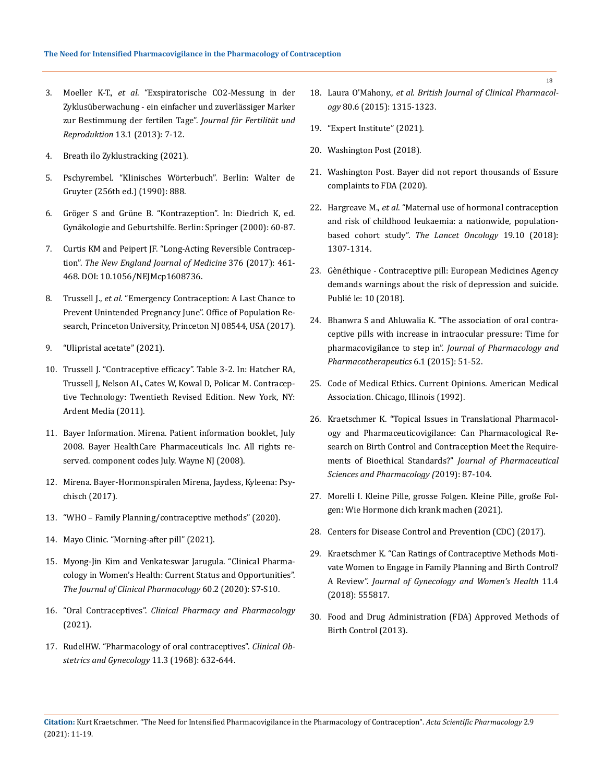- 3. Moeller K-T., *et al*. "Exspiratorische CO2-Messung in der Zyklusüberwachung - ein einfacher und zuverlässiger Marker zur Bestimmung der fertilen Tage". *Journal für Fertilität und Reproduktion* 13.1 (2013): 7-12.
- 4. Breath ilo Zyklustracking (2021).
- 5. Pschyrembel. "Klinisches Wörterbuch". Berlin: Walter de Gruyter (256th ed.) (1990): 888.
- 6. Gröger S and Grüne B. "Kontrazeption". In: Diedrich K, ed. Gynäkologie and Geburtshilfe. Berlin: Springer (2000): 60-87.
- 7. Curtis KM and Peipert JF. "Long-Acting Reversible Contraception". *The New England Journal of Medicine* 376 (2017): 461- 468. DOI: 10.1056/NEJMcp1608736.
- 8. Trussell J., *et al*. "Emergency Contraception: A Last Chance to Prevent Unintended Pregnancy June". Office of Population Research, Princeton University, Princeton NJ 08544, USA (2017).
- 9. "Ulipristal acetate" (2021).
- 10. Trussell J. "Contraceptive efficacy". Table 3-2. In: Hatcher RA, Trussell J, Nelson AL, Cates W, Kowal D, Policar M. Contraceptive Technology: Twentieth Revised Edition. New York, NY: Ardent Media (2011).
- 11. Bayer Information. Mirena. Patient information booklet, July 2008. Bayer HealthCare Pharmaceuticals Inc. All rights reserved. component codes July. Wayne NJ (2008).
- 12. Mirena. Bayer-Hormonspiralen Mirena, Jaydess, Kyleena: Psychisch (2017).
- 13. ["WHO Family Planning/contraceptive methods" \(2020\).](https://www.who.int/news-room/fact-sheets/detail/family-planning-contraception)
- 14. Mayo Clinic. "Morning-after pill" (2021).
- 15. [Myong-Jin Kim and Venkateswar Jarugula. "Clinical Pharma](https://doi.org/10.1002/jcph.1778)[cology in Women's Health: Current Status and Opportunities".](https://doi.org/10.1002/jcph.1778)  *[The Journal of Clinical Pharmacology](https://doi.org/10.1002/jcph.1778)* 60.2 (2020): S7-S10.
- 16. "Oral Contraceptives". *[Clinical Pharmacy and Pharmacology](https://jamanetwork.com/journals/jama/fullarticle/1814214)*  [\(2021\).](https://jamanetwork.com/journals/jama/fullarticle/1814214)
- 17. [RudelHW. "Pharmacology of oral contraceptives".](https://journals.lww.com/clinicalobgyn/Citation/1968/11030/Pharmacology_of_Oral_Contraceptives.2.aspx) *Clinical Ob[stetrics and Gynecology](https://journals.lww.com/clinicalobgyn/Citation/1968/11030/Pharmacology_of_Oral_Contraceptives.2.aspx)* 11.3 (1968): 632-644.
- 18. Laura O'Mahony., *et al*. *British Journal of Clinical Pharmacology* 80.6 (2015): 1315-1323.
- 19. "Expert Institute" (2021).
- 20. Washington Post (2018).
- 21. Washington Post. Bayer did not report thousands of Essure complaints to FDA (2020).
- 22. Hargreave M., *et al*[. "Maternal use of hormonal contraception](https://www.thelancet.com/journals/lanonc/article/PIIS1470-2045(18)30479-0/fulltext)  [and risk of childhood leukaemia: a nationwide, population](https://www.thelancet.com/journals/lanonc/article/PIIS1470-2045(18)30479-0/fulltext)based cohort study". *[The Lancet Oncology](https://www.thelancet.com/journals/lanonc/article/PIIS1470-2045(18)30479-0/fulltext)* 19.10 (2018): [1307-1314.](https://www.thelancet.com/journals/lanonc/article/PIIS1470-2045(18)30479-0/fulltext)
- 23. [Gènéthique Contraceptive pill: European Medicines Agency](https://www.genethique.org/contraceptive-pill-european-medicines-agency-demands-warnings-about-the-risk-of-depression-and-suicide/?lang=en)  [demands warnings about the risk of depression and suicide.](https://www.genethique.org/contraceptive-pill-european-medicines-agency-demands-warnings-about-the-risk-of-depression-and-suicide/?lang=en)  [Publié le: 10 \(2018\).](https://www.genethique.org/contraceptive-pill-european-medicines-agency-demands-warnings-about-the-risk-of-depression-and-suicide/?lang=en)
- 24. [Bhanwra S and Ahluwalia K. "The association of oral contra](https://www.jpharmacol.com/article.asp?issn=0976-500X;year=2015;volume=6;issue=1;spage=51;epage=52;aulast=Bhanwra)[ceptive pills with increase in intraocular pressure: Time for](https://www.jpharmacol.com/article.asp?issn=0976-500X;year=2015;volume=6;issue=1;spage=51;epage=52;aulast=Bhanwra)  pharmacovigilance to step in". *[Journal of Pharmacology and](https://www.jpharmacol.com/article.asp?issn=0976-500X;year=2015;volume=6;issue=1;spage=51;epage=52;aulast=Bhanwra)  [Pharmacotherapeutics](https://www.jpharmacol.com/article.asp?issn=0976-500X;year=2015;volume=6;issue=1;spage=51;epage=52;aulast=Bhanwra)* 6.1 (2015): 51-52.
- 25. Code of Medical Ethics. Current Opinions. American Medical Association. Chicago, Illinois (1992).
- 26. [Kraetschmer K. "Topical Issues in Translational Pharmacol](https://norcaloa.com/journals/JPCT/JPCT-201018.pdf)[ogy and Pharmaceuticovigilance: Can Pharmacological Re](https://norcaloa.com/journals/JPCT/JPCT-201018.pdf)[search on Birth Control and Contraception Meet the Require](https://norcaloa.com/journals/JPCT/JPCT-201018.pdf)ments of Bioethical Standards?" *[Journal of Pharmaceutical](https://norcaloa.com/journals/JPCT/JPCT-201018.pdf)  [Sciences and Pharmacology \(](https://norcaloa.com/journals/JPCT/JPCT-201018.pdf)*2019): 87-104.
- 27. Morelli I. Kleine Pille, grosse Folgen. Kleine Pille, große Folgen: Wie Hormone dich krank machen (2021).
- 28. [Centers for Disease Control and Prevention \(CDC\) \(2017\).](https://www.cdc.gov/reproductivehealth/contraception/mmwr/mec/summary.html)
- 29. [Kraetschmer K. "Can Ratings of Contraceptive Methods Moti](https://juniperpublishers.com/jgwh/JGWH.MS.ID.555817.php)[vate Women to Engage in Family Planning and Birth Control?](https://juniperpublishers.com/jgwh/JGWH.MS.ID.555817.php)  A Review". *[Journal of Gynecology and Women's Health](https://juniperpublishers.com/jgwh/JGWH.MS.ID.555817.php)* 11.4 [\(2018\): 555817.](https://juniperpublishers.com/jgwh/JGWH.MS.ID.555817.php)
- 30. [Food and Drug Administration \(FDA\) Approved Methods of](http://www.fad.gov/ForConsumers/ByAudience/ForWomen/FreePublications/ucm313215.htm)  [Birth Control \(2013\).](http://www.fad.gov/ForConsumers/ByAudience/ForWomen/FreePublications/ucm313215.htm)

**Citation:** Kurt Kraetschmer*.* "The Need for Intensified Pharmacovigilance in the Pharmacology of Contraception". *Acta Scientific Pharmacology* 2.9 (2021): 11-19.